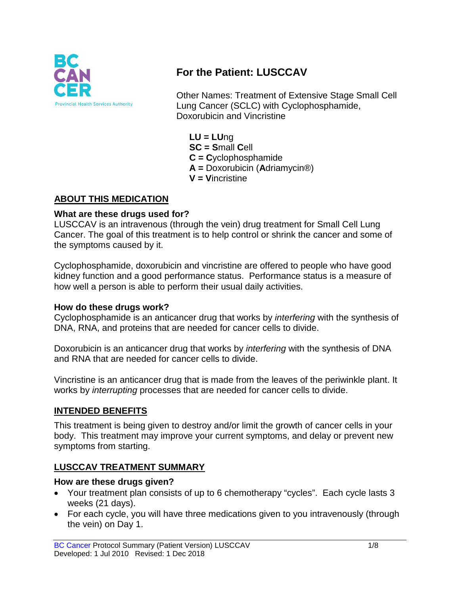

# **For the Patient: LUSCCAV**

Other Names: Treatment of Extensive Stage Small Cell Lung Cancer (SCLC) with Cyclophosphamide, Doxorubicin and Vincristine

**LU = LU**ng **SC = S**mall **C**ell **C = C**yclophosphamide **A =** Doxorubicin (**A**driamycin®) **V = V**incristine

#### **ABOUT THIS MEDICATION**

#### **What are these drugs used for?**

LUSCCAV is an intravenous (through the vein) drug treatment for Small Cell Lung Cancer. The goal of this treatment is to help control or shrink the cancer and some of the symptoms caused by it.

Cyclophosphamide, doxorubicin and vincristine are offered to people who have good kidney function and a good performance status. Performance status is a measure of how well a person is able to perform their usual daily activities.

#### **How do these drugs work?**

Cyclophosphamide is an anticancer drug that works by *interfering* with the synthesis of DNA, RNA, and proteins that are needed for cancer cells to divide.

Doxorubicin is an anticancer drug that works by *interfering* with the synthesis of DNA and RNA that are needed for cancer cells to divide.

Vincristine is an anticancer drug that is made from the leaves of the periwinkle plant. It works by *interrupting* processes that are needed for cancer cells to divide.

### **INTENDED BENEFITS**

This treatment is being given to destroy and/or limit the growth of cancer cells in your body. This treatment may improve your current symptoms, and delay or prevent new symptoms from starting.

### **LUSCCAV TREATMENT SUMMARY**

#### **How are these drugs given?**

- Your treatment plan consists of up to 6 chemotherapy "cycles". Each cycle lasts 3 weeks (21 days).
- For each cycle, you will have three medications given to you intravenously (through the vein) on Day 1.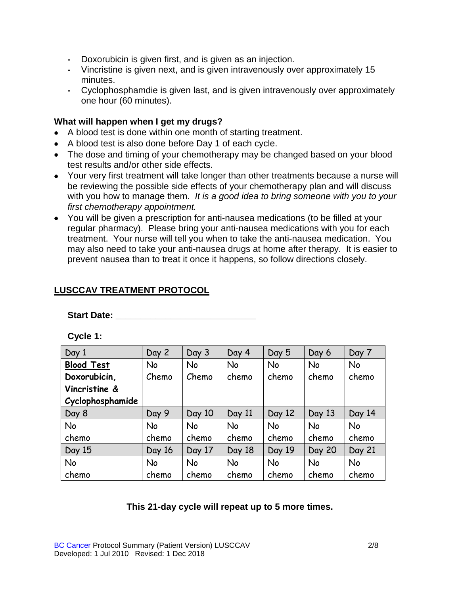- **-** Doxorubicin is given first, and is given as an injection.
- **-** Vincristine is given next, and is given intravenously over approximately 15 minutes.
- **-** Cyclophosphamdie is given last, and is given intravenously over approximately one hour (60 minutes).

#### **What will happen when I get my drugs?**

- A blood test is done within one month of starting treatment.
- A blood test is also done before Day 1 of each cycle.
- The dose and timing of your chemotherapy may be changed based on your blood test results and/or other side effects.
- Your very first treatment will take longer than other treatments because a nurse will be reviewing the possible side effects of your chemotherapy plan and will discuss with you how to manage them. *It is a good idea to bring someone with you to your first chemotherapy appointment.*
- You will be given a prescription for anti-nausea medications (to be filled at your regular pharmacy). Please bring your anti-nausea medications with you for each treatment. Your nurse will tell you when to take the anti-nausea medication. You may also need to take your anti-nausea drugs at home after therapy. It is easier to prevent nausea than to treat it once it happens, so follow directions closely.

### **LUSCCAV TREATMENT PROTOCOL**

**Start Date: Constanting Start Date: Constanting Start Date:** 

**Cycle 1:**

| Day 1             | Day 2     | Day 3     | Day 4     | Day 5     | Day 6  | Day 7     |
|-------------------|-----------|-----------|-----------|-----------|--------|-----------|
| <b>Blood Test</b> | <b>No</b> | No        | No        | <b>No</b> | No     | <b>No</b> |
| Doxorubicin,      | Chemo     | Chemo     | chemo     | chemo     | chemo  | chemo     |
| Vincristine &     |           |           |           |           |        |           |
| Cyclophosphamide  |           |           |           |           |        |           |
| Day 8             | Day 9     | Day 10    | Day 11    | Day 12    | Day 13 | Day 14    |
| No                | <b>No</b> | No        | <b>No</b> | <b>No</b> | No     | <b>No</b> |
| chemo             | chemo     | chemo     | chemo     | chemo     | chemo  | chemo     |
| Day 15            | Day 16    | Day 17    | Day 18    | Day 19    | Day 20 | Day 21    |
| No                | <b>No</b> | <b>No</b> | <b>No</b> | <b>No</b> | No     | <b>No</b> |
| chemo             | chemo     | chemo     | chemo     | chemo     | chemo  | chemo     |

### **This 21-day cycle will repeat up to 5 more times.**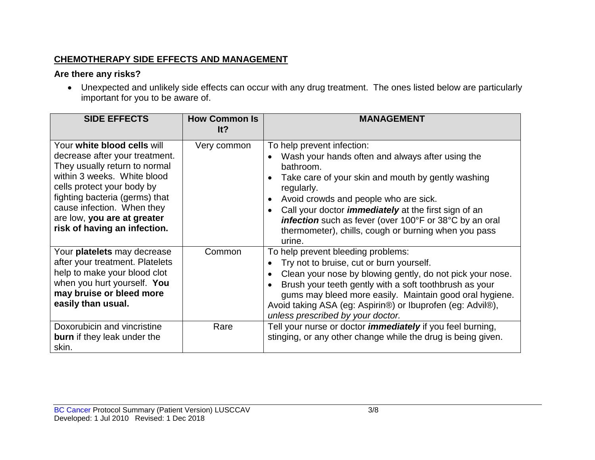### **CHEMOTHERAPY SIDE EFFECTS AND MANAGEMENT**

### **Are there any risks?**

• Unexpected and unlikely side effects can occur with any drug treatment. The ones listed below are particularly important for you to be aware of.

| <b>SIDE EFFECTS</b>                                                                                                                                                                                                                                                                        | <b>How Common Is</b><br>lt? | MANAGEMENT                                                                                                                                                                                                                                                                                                                                                                                          |
|--------------------------------------------------------------------------------------------------------------------------------------------------------------------------------------------------------------------------------------------------------------------------------------------|-----------------------------|-----------------------------------------------------------------------------------------------------------------------------------------------------------------------------------------------------------------------------------------------------------------------------------------------------------------------------------------------------------------------------------------------------|
| Your white blood cells will<br>decrease after your treatment.<br>They usually return to normal<br>within 3 weeks. White blood<br>cells protect your body by<br>fighting bacteria (germs) that<br>cause infection. When they<br>are low, you are at greater<br>risk of having an infection. | Very common                 | To help prevent infection:<br>Wash your hands often and always after using the<br>bathroom.<br>Take care of your skin and mouth by gently washing<br>regularly.<br>Avoid crowds and people who are sick.<br>Call your doctor <i>immediately</i> at the first sign of an<br>infection such as fever (over 100°F or 38°C by an oral<br>thermometer), chills, cough or burning when you pass<br>urine. |
| Your platelets may decrease<br>after your treatment. Platelets<br>help to make your blood clot<br>when you hurt yourself. You<br>may bruise or bleed more<br>easily than usual.                                                                                                            | Common                      | To help prevent bleeding problems:<br>Try not to bruise, cut or burn yourself.<br>Clean your nose by blowing gently, do not pick your nose.<br>Brush your teeth gently with a soft toothbrush as your<br>gums may bleed more easily. Maintain good oral hygiene.<br>Avoid taking ASA (eg: Aspirin®) or Ibuprofen (eg: Advil®),<br>unless prescribed by your doctor.                                 |
| Doxorubicin and vincristine<br><b>burn</b> if they leak under the<br>skin.                                                                                                                                                                                                                 | Rare                        | Tell your nurse or doctor <i>immediately</i> if you feel burning,<br>stinging, or any other change while the drug is being given.                                                                                                                                                                                                                                                                   |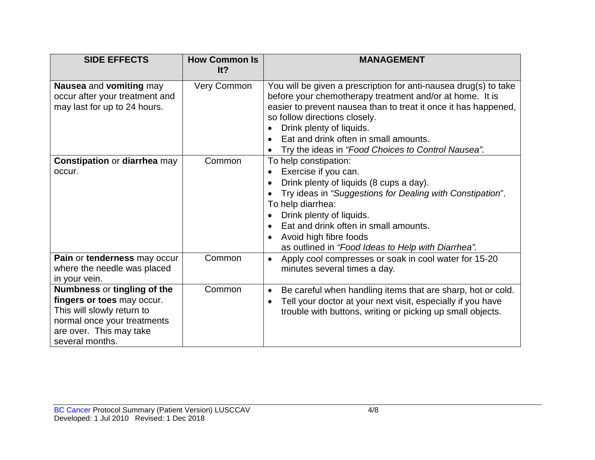| <b>SIDE EFFECTS</b>                                                                                                                                                  | <b>How Common Is</b><br>It? | <b>MANAGEMENT</b>                                                                                                                                                                                                                                                                                                                                           |
|----------------------------------------------------------------------------------------------------------------------------------------------------------------------|-----------------------------|-------------------------------------------------------------------------------------------------------------------------------------------------------------------------------------------------------------------------------------------------------------------------------------------------------------------------------------------------------------|
| Nausea and vomiting may<br>occur after your treatment and<br>may last for up to 24 hours.                                                                            | Very Common                 | You will be given a prescription for anti-nausea drug(s) to take<br>before your chemotherapy treatment and/or at home. It is<br>easier to prevent nausea than to treat it once it has happened,<br>so follow directions closely.<br>Drink plenty of liquids.<br>Eat and drink often in small amounts.<br>Try the ideas in "Food Choices to Control Nausea". |
| <b>Constipation or diarrhea may</b><br>occur.                                                                                                                        | Common                      | To help constipation:<br>Exercise if you can.<br>Drink plenty of liquids (8 cups a day).<br>Try ideas in "Suggestions for Dealing with Constipation".<br>To help diarrhea:<br>Drink plenty of liquids.<br>Eat and drink often in small amounts.<br>Avoid high fibre foods<br>as outlined in "Food Ideas to Help with Diarrhea".                             |
| Pain or tenderness may occur<br>where the needle was placed<br>in your vein.                                                                                         | Common                      | Apply cool compresses or soak in cool water for 15-20<br>$\bullet$<br>minutes several times a day.                                                                                                                                                                                                                                                          |
| Numbness or tingling of the<br>fingers or toes may occur.<br>This will slowly return to<br>normal once your treatments<br>are over. This may take<br>several months. | Common                      | Be careful when handling items that are sharp, hot or cold.<br>$\bullet$<br>Tell your doctor at your next visit, especially if you have<br>trouble with buttons, writing or picking up small objects.                                                                                                                                                       |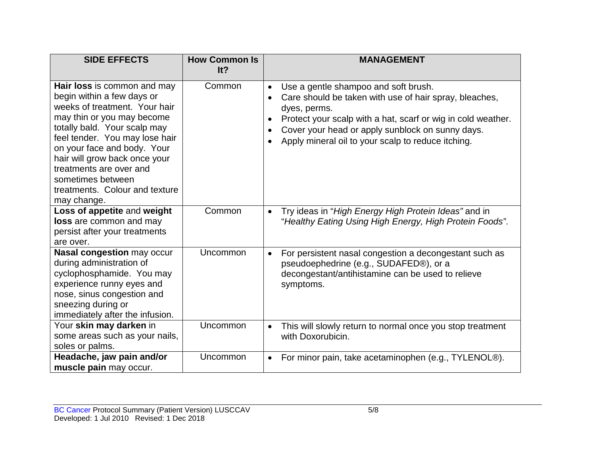| <b>SIDE EFFECTS</b>                                                                                                                                                                                                                                                                                                                                         | <b>How Common Is</b><br>It? | <b>MANAGEMENT</b>                                                                                                                                                                                                                                                                                                  |
|-------------------------------------------------------------------------------------------------------------------------------------------------------------------------------------------------------------------------------------------------------------------------------------------------------------------------------------------------------------|-----------------------------|--------------------------------------------------------------------------------------------------------------------------------------------------------------------------------------------------------------------------------------------------------------------------------------------------------------------|
| Hair loss is common and may<br>begin within a few days or<br>weeks of treatment. Your hair<br>may thin or you may become<br>totally bald. Your scalp may<br>feel tender. You may lose hair<br>on your face and body. Your<br>hair will grow back once your<br>treatments are over and<br>sometimes between<br>treatments. Colour and texture<br>may change. | Common                      | Use a gentle shampoo and soft brush.<br>Care should be taken with use of hair spray, bleaches,<br>$\bullet$<br>dyes, perms.<br>Protect your scalp with a hat, scarf or wig in cold weather.<br>$\bullet$<br>Cover your head or apply sunblock on sunny days.<br>Apply mineral oil to your scalp to reduce itching. |
| Loss of appetite and weight<br>loss are common and may<br>persist after your treatments<br>are over.                                                                                                                                                                                                                                                        | Common                      | Try ideas in "High Energy High Protein Ideas" and in<br>$\bullet$<br>"Healthy Eating Using High Energy, High Protein Foods".                                                                                                                                                                                       |
| Nasal congestion may occur<br>during administration of<br>cyclophosphamide. You may<br>experience runny eyes and<br>nose, sinus congestion and<br>sneezing during or<br>immediately after the infusion.                                                                                                                                                     | Uncommon                    | For persistent nasal congestion a decongestant such as<br>$\bullet$<br>pseudoephedrine (e.g., SUDAFED®), or a<br>decongestant/antihistamine can be used to relieve<br>symptoms.                                                                                                                                    |
| Your skin may darken in<br>some areas such as your nails,<br>soles or palms.                                                                                                                                                                                                                                                                                | Uncommon                    | This will slowly return to normal once you stop treatment<br>$\bullet$<br>with Doxorubicin.                                                                                                                                                                                                                        |
| Headache, jaw pain and/or<br>muscle pain may occur.                                                                                                                                                                                                                                                                                                         | Uncommon                    | For minor pain, take acetaminophen (e.g., TYLENOL®).<br>$\bullet$                                                                                                                                                                                                                                                  |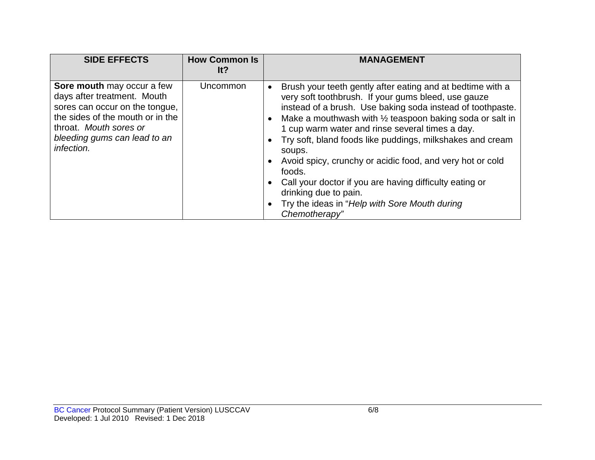| <b>SIDE EFFECTS</b>                                                                                                                                                                                     | <b>How Common Is</b><br>It? | <b>MANAGEMENT</b>                                                                                                                                                                                                                                                                                                                                                                                                                                                                                                                                                                                             |
|---------------------------------------------------------------------------------------------------------------------------------------------------------------------------------------------------------|-----------------------------|---------------------------------------------------------------------------------------------------------------------------------------------------------------------------------------------------------------------------------------------------------------------------------------------------------------------------------------------------------------------------------------------------------------------------------------------------------------------------------------------------------------------------------------------------------------------------------------------------------------|
| Sore mouth may occur a few<br>days after treatment. Mouth<br>sores can occur on the tongue,<br>the sides of the mouth or in the<br>throat. Mouth sores or<br>bleeding gums can lead to an<br>infection. | Uncommon                    | Brush your teeth gently after eating and at bedtime with a<br>very soft toothbrush. If your gums bleed, use gauze<br>instead of a brush. Use baking soda instead of toothpaste.<br>Make a mouthwash with $\frac{1}{2}$ teaspoon baking soda or salt in<br>1 cup warm water and rinse several times a day.<br>Try soft, bland foods like puddings, milkshakes and cream<br>soups.<br>Avoid spicy, crunchy or acidic food, and very hot or cold<br>foods.<br>Call your doctor if you are having difficulty eating or<br>drinking due to pain.<br>Try the ideas in "Help with Sore Mouth during<br>Chemotherapy" |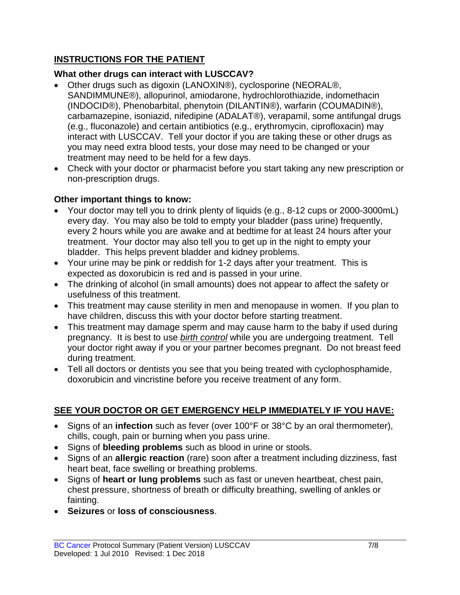### **INSTRUCTIONS FOR THE PATIENT**

### **What other drugs can interact with LUSCCAV?**

- Other drugs such as digoxin (LANOXIN®), cyclosporine (NEORAL®, SANDIMMUNE®), allopurinol, amiodarone, hydrochlorothiazide, indomethacin (INDOCID®), Phenobarbital, phenytoin (DILANTIN®), warfarin (COUMADIN®), carbamazepine, isoniazid, nifedipine (ADALAT®), verapamil, some antifungal drugs (e.g., fluconazole) and certain antibiotics (e.g., erythromycin, ciprofloxacin) may interact with LUSCCAV. Tell your doctor if you are taking these or other drugs as you may need extra blood tests, your dose may need to be changed or your treatment may need to be held for a few days.
- Check with your doctor or pharmacist before you start taking any new prescription or non-prescription drugs.

### **Other important things to know:**

- Your doctor may tell you to drink plenty of liquids (e.g., 8-12 cups or 2000-3000mL) every day. You may also be told to empty your bladder (pass urine) frequently, every 2 hours while you are awake and at bedtime for at least 24 hours after your treatment. Your doctor may also tell you to get up in the night to empty your bladder. This helps prevent bladder and kidney problems.
- Your urine may be pink or reddish for 1-2 days after your treatment. This is expected as doxorubicin is red and is passed in your urine.
- The drinking of alcohol (in small amounts) does not appear to affect the safety or usefulness of this treatment.
- This treatment may cause sterility in men and menopause in women. If you plan to have children, discuss this with your doctor before starting treatment.
- This treatment may damage sperm and may cause harm to the baby if used during pregnancy. It is best to use *birth control* while you are undergoing treatment. Tell your doctor right away if you or your partner becomes pregnant. Do not breast feed during treatment.
- Tell all doctors or dentists you see that you being treated with cyclophosphamide, doxorubicin and vincristine before you receive treatment of any form.

## **SEE YOUR DOCTOR OR GET EMERGENCY HELP IMMEDIATELY IF YOU HAVE:**

- Signs of an **infection** such as fever (over 100°F or 38°C by an oral thermometer), chills, cough, pain or burning when you pass urine.
- Signs of **bleeding problems** such as blood in urine or stools.
- Signs of an **allergic reaction** (rare) soon after a treatment including dizziness, fast heart beat, face swelling or breathing problems.
- Signs of **heart or lung problems** such as fast or uneven heartbeat, chest pain, chest pressure, shortness of breath or difficulty breathing, swelling of ankles or fainting.
- **Seizures** or **loss of consciousness**.